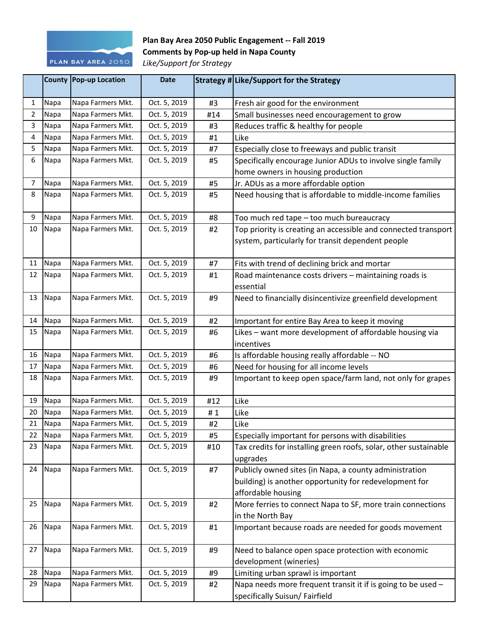

## **Plan Bay Area 2050 Public Engagement -- Fall 2019 Comments by Pop-up held in Napa County**

*Like/Support for Strategy*

|                |      | <b>County Pop-up Location</b> | <b>Date</b>  |     | Strategy # Like/Support for the Strategy                                     |
|----------------|------|-------------------------------|--------------|-----|------------------------------------------------------------------------------|
| $\mathbf{1}$   | Napa | Napa Farmers Mkt.             | Oct. 5, 2019 | #3  | Fresh air good for the environment                                           |
| $\overline{2}$ | Napa | Napa Farmers Mkt.             | Oct. 5, 2019 | #14 | Small businesses need encouragement to grow                                  |
| 3              | Napa | Napa Farmers Mkt.             | Oct. 5, 2019 | #3  | Reduces traffic & healthy for people                                         |
| 4              | Napa | Napa Farmers Mkt.             | Oct. 5, 2019 | #1  | Like                                                                         |
| 5              | Napa | Napa Farmers Mkt.             | Oct. 5, 2019 | #7  | Especially close to freeways and public transit                              |
| 6              | Napa | Napa Farmers Mkt.             | Oct. 5, 2019 | #5  | Specifically encourage Junior ADUs to involve single family                  |
|                |      |                               |              |     | home owners in housing production                                            |
| $\overline{7}$ | Napa | Napa Farmers Mkt.             | Oct. 5, 2019 | #5  | Jr. ADUs as a more affordable option                                         |
| 8              | Napa | Napa Farmers Mkt.             | Oct. 5, 2019 | #5  | Need housing that is affordable to middle-income families                    |
| 9              | Napa | Napa Farmers Mkt.             | Oct. 5, 2019 | #8  | Too much red tape - too much bureaucracy                                     |
| 10             | Napa | Napa Farmers Mkt.             | Oct. 5, 2019 | #2  | Top priority is creating an accessible and connected transport               |
|                |      |                               |              |     | system, particularly for transit dependent people                            |
| 11             | Napa | Napa Farmers Mkt.             | Oct. 5, 2019 | #7  | Fits with trend of declining brick and mortar                                |
| 12             | Napa | Napa Farmers Mkt.             | Oct. 5, 2019 | #1  | Road maintenance costs drivers - maintaining roads is                        |
|                |      |                               |              |     | essential                                                                    |
| 13             | Napa | Napa Farmers Mkt.             | Oct. 5, 2019 | #9  | Need to financially disincentivize greenfield development                    |
| 14             | Napa | Napa Farmers Mkt.             | Oct. 5, 2019 | #2  | Important for entire Bay Area to keep it moving                              |
| 15             | Napa | Napa Farmers Mkt.             | Oct. 5, 2019 | #6  | Likes - want more development of affordable housing via                      |
|                |      |                               |              |     | incentives                                                                   |
| 16             | Napa | Napa Farmers Mkt.             | Oct. 5, 2019 | #6  | Is affordable housing really affordable -- NO                                |
| 17             | Napa | Napa Farmers Mkt.             | Oct. 5, 2019 | #6  | Need for housing for all income levels                                       |
| 18             | Napa | Napa Farmers Mkt.             | Oct. 5, 2019 | #9  | Important to keep open space/farm land, not only for grapes                  |
| 19             | Napa | Napa Farmers Mkt.             | Oct. 5, 2019 | #12 | Like                                                                         |
| 20             | Napa | Napa Farmers Mkt.             | Oct. 5, 2019 | #1  | Like                                                                         |
| 21             | Napa | Napa Farmers Mkt.             | Oct. 5, 2019 | #2  | Like                                                                         |
| 22             | Napa | Napa Farmers Mkt.             | Oct. 5, 2019 | #5  | Especially important for persons with disabilities                           |
| 23             | Napa | Napa Farmers Mkt.             | Oct. 5, 2019 | #10 | Tax credits for installing green roofs, solar, other sustainable<br>upgrades |
| 24             | Napa | Napa Farmers Mkt.             | Oct. 5, 2019 | #7  | Publicly owned sites (in Napa, a county administration                       |
|                |      |                               |              |     | building) is another opportunity for redevelopment for                       |
|                |      |                               |              |     | affordable housing                                                           |
| 25             | Napa | Napa Farmers Mkt.             | Oct. 5, 2019 | #2  | More ferries to connect Napa to SF, more train connections                   |
|                |      |                               |              |     | in the North Bay                                                             |
| 26             | Napa | Napa Farmers Mkt.             | Oct. 5, 2019 | #1  | Important because roads are needed for goods movement                        |
| 27             | Napa | Napa Farmers Mkt.             | Oct. 5, 2019 | #9  | Need to balance open space protection with economic                          |
|                |      |                               |              |     | development (wineries)                                                       |
| 28             | Napa | Napa Farmers Mkt.             | Oct. 5, 2019 | #9  | Limiting urban sprawl is important                                           |
| 29             | Napa | Napa Farmers Mkt.             | Oct. 5, 2019 | #2  | Napa needs more frequent transit it if is going to be used -                 |
|                |      |                               |              |     | specifically Suisun/ Fairfield                                               |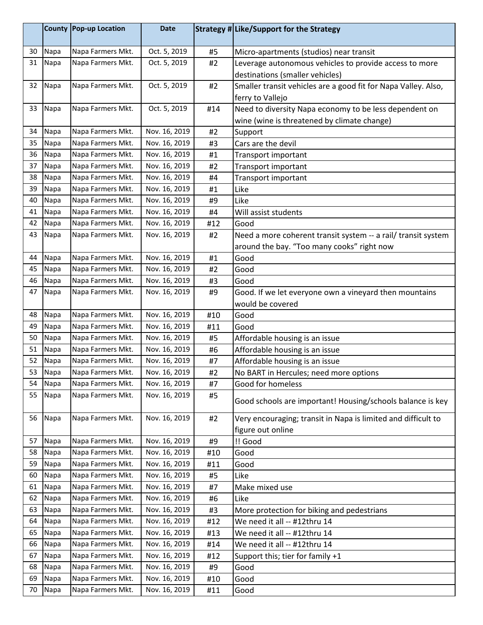|    | <b>County</b> | Pop-up Location   | <b>Date</b>   |     | <b>Strategy # Like/Support for the Strategy</b>                |
|----|---------------|-------------------|---------------|-----|----------------------------------------------------------------|
| 30 | Napa          | Napa Farmers Mkt. | Oct. 5, 2019  | #5  | Micro-apartments (studios) near transit                        |
| 31 | Napa          | Napa Farmers Mkt. | Oct. 5, 2019  | #2  | Leverage autonomous vehicles to provide access to more         |
|    |               |                   |               |     | destinations (smaller vehicles)                                |
| 32 | Napa          | Napa Farmers Mkt. | Oct. 5, 2019  | #2  | Smaller transit vehicles are a good fit for Napa Valley. Also, |
|    |               |                   |               |     | ferry to Vallejo                                               |
| 33 | Napa          | Napa Farmers Mkt. | Oct. 5, 2019  | #14 | Need to diversity Napa economy to be less dependent on         |
|    |               |                   |               |     | wine (wine is threatened by climate change)                    |
| 34 | Napa          | Napa Farmers Mkt. | Nov. 16, 2019 | #2  | Support                                                        |
| 35 | Napa          | Napa Farmers Mkt. | Nov. 16, 2019 | #3  | Cars are the devil                                             |
| 36 | Napa          | Napa Farmers Mkt. | Nov. 16, 2019 | #1  | Transport important                                            |
| 37 | Napa          | Napa Farmers Mkt. | Nov. 16, 2019 | #2  | Transport important                                            |
| 38 | Napa          | Napa Farmers Mkt. | Nov. 16, 2019 | #4  | Transport important                                            |
| 39 | Napa          | Napa Farmers Mkt. | Nov. 16, 2019 | #1  | Like                                                           |
| 40 | Napa          | Napa Farmers Mkt. | Nov. 16, 2019 | #9  | Like                                                           |
| 41 | Napa          | Napa Farmers Mkt. | Nov. 16, 2019 | #4  | Will assist students                                           |
| 42 | Napa          | Napa Farmers Mkt. | Nov. 16, 2019 | #12 | Good                                                           |
| 43 | Napa          | Napa Farmers Mkt. | Nov. 16, 2019 | #2  | Need a more coherent transit system -- a rail/ transit system  |
|    |               |                   |               |     | around the bay. "Too many cooks" right now                     |
| 44 | Napa          | Napa Farmers Mkt. | Nov. 16, 2019 | #1  | Good                                                           |
| 45 | Napa          | Napa Farmers Mkt. | Nov. 16, 2019 | #2  | Good                                                           |
| 46 | Napa          | Napa Farmers Mkt. | Nov. 16, 2019 | #3  | Good                                                           |
| 47 | Napa          | Napa Farmers Mkt. | Nov. 16, 2019 | #9  | Good. If we let everyone own a vineyard then mountains         |
|    |               |                   |               |     | would be covered                                               |
| 48 | Napa          | Napa Farmers Mkt. | Nov. 16, 2019 | #10 | Good                                                           |
| 49 | Napa          | Napa Farmers Mkt. | Nov. 16, 2019 | #11 | Good                                                           |
| 50 | Napa          | Napa Farmers Mkt. | Nov. 16, 2019 | #5  | Affordable housing is an issue                                 |
| 51 | Napa          | Napa Farmers Mkt. | Nov. 16, 2019 | #6  | Affordable housing is an issue                                 |
| 52 | Napa          | Napa Farmers Mkt. | Nov. 16, 2019 | #7  | Affordable housing is an issue                                 |
| 53 | Napa          | Napa Farmers Mkt. | Nov. 16, 2019 | #2  | No BART in Hercules; need more options                         |
| 54 | Napa          | Napa Farmers Mkt. | Nov. 16, 2019 | #7  | Good for homeless                                              |
| 55 | Napa          | Napa Farmers Mkt. | Nov. 16, 2019 | #5  | Good schools are important! Housing/schools balance is key     |
| 56 | Napa          | Napa Farmers Mkt. | Nov. 16, 2019 | #2  | Very encouraging; transit in Napa is limited and difficult to  |
|    |               |                   |               |     | figure out online                                              |
| 57 | Napa          | Napa Farmers Mkt. | Nov. 16, 2019 | #9  | !! Good                                                        |
| 58 | Napa          | Napa Farmers Mkt. | Nov. 16, 2019 | #10 | Good                                                           |
| 59 | Napa          | Napa Farmers Mkt. | Nov. 16, 2019 | #11 | Good                                                           |
| 60 | Napa          | Napa Farmers Mkt. | Nov. 16, 2019 | #5  | Like                                                           |
| 61 | Napa          | Napa Farmers Mkt. | Nov. 16, 2019 | #7  | Make mixed use                                                 |
| 62 | Napa          | Napa Farmers Mkt. | Nov. 16, 2019 | #6  | Like                                                           |
| 63 | Napa          | Napa Farmers Mkt. | Nov. 16, 2019 | #3  | More protection for biking and pedestrians                     |
| 64 | Napa          | Napa Farmers Mkt. | Nov. 16, 2019 | #12 | We need it all -- #12thru 14                                   |
| 65 | Napa          | Napa Farmers Mkt. | Nov. 16, 2019 | #13 | We need it all -- #12thru 14                                   |
| 66 | Napa          | Napa Farmers Mkt. | Nov. 16, 2019 | #14 | We need it all -- #12thru 14                                   |
| 67 | Napa          | Napa Farmers Mkt. | Nov. 16, 2019 | #12 | Support this; tier for family +1                               |
| 68 | Napa          | Napa Farmers Mkt. | Nov. 16, 2019 | #9  | Good                                                           |
| 69 | Napa          | Napa Farmers Mkt. | Nov. 16, 2019 | #10 | Good                                                           |
| 70 | Napa          | Napa Farmers Mkt. | Nov. 16, 2019 | #11 | Good                                                           |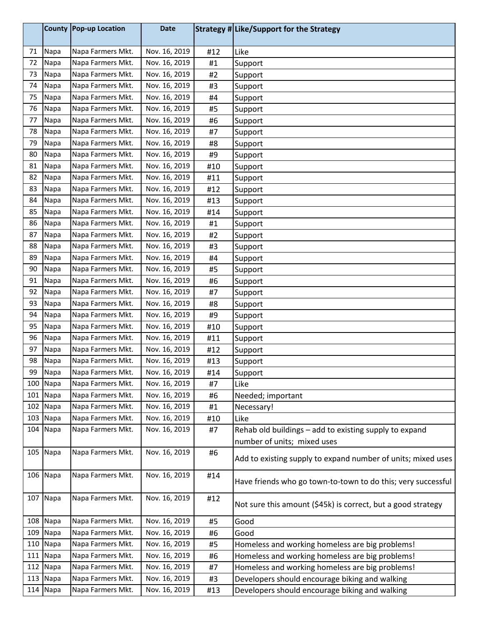|     |          | County Pop-up Location | <b>Date</b>   |     | Strategy # Like/Support for the Strategy                     |
|-----|----------|------------------------|---------------|-----|--------------------------------------------------------------|
| 71  | Napa     | Napa Farmers Mkt.      | Nov. 16, 2019 | #12 | Like                                                         |
| 72  | Napa     | Napa Farmers Mkt.      | Nov. 16, 2019 | #1  | Support                                                      |
| 73  | Napa     | Napa Farmers Mkt.      | Nov. 16, 2019 | #2  | Support                                                      |
| 74  | Napa     | Napa Farmers Mkt.      | Nov. 16, 2019 | #3  | Support                                                      |
| 75  | Napa     | Napa Farmers Mkt.      | Nov. 16, 2019 | #4  | Support                                                      |
| 76  | Napa     | Napa Farmers Mkt.      | Nov. 16, 2019 | #5  | Support                                                      |
| 77  | Napa     | Napa Farmers Mkt.      | Nov. 16, 2019 | #6  | Support                                                      |
| 78  | Napa     | Napa Farmers Mkt.      | Nov. 16, 2019 | #7  | Support                                                      |
| 79  | Napa     | Napa Farmers Mkt.      | Nov. 16, 2019 | #8  | Support                                                      |
| 80  | Napa     | Napa Farmers Mkt.      | Nov. 16, 2019 | #9  | Support                                                      |
| 81  | Napa     | Napa Farmers Mkt.      | Nov. 16, 2019 | #10 | Support                                                      |
| 82  | Napa     | Napa Farmers Mkt.      | Nov. 16, 2019 | #11 | Support                                                      |
| 83  | Napa     | Napa Farmers Mkt.      | Nov. 16, 2019 | #12 | Support                                                      |
| 84  | Napa     | Napa Farmers Mkt.      | Nov. 16, 2019 | #13 | Support                                                      |
| 85  | Napa     | Napa Farmers Mkt.      | Nov. 16, 2019 | #14 | Support                                                      |
| 86  | Napa     | Napa Farmers Mkt.      | Nov. 16, 2019 | #1  | Support                                                      |
| 87  | Napa     | Napa Farmers Mkt.      | Nov. 16, 2019 | #2  | Support                                                      |
| 88  | Napa     | Napa Farmers Mkt.      | Nov. 16, 2019 | #3  | Support                                                      |
| 89  | Napa     | Napa Farmers Mkt.      | Nov. 16, 2019 | #4  | Support                                                      |
| 90  | Napa     | Napa Farmers Mkt.      | Nov. 16, 2019 | #5  | Support                                                      |
| 91  | Napa     | Napa Farmers Mkt.      | Nov. 16, 2019 | #6  | Support                                                      |
| 92  | Napa     | Napa Farmers Mkt.      | Nov. 16, 2019 | #7  | Support                                                      |
| 93  | Napa     | Napa Farmers Mkt.      | Nov. 16, 2019 | #8  | Support                                                      |
| 94  | Napa     | Napa Farmers Mkt.      | Nov. 16, 2019 | #9  | Support                                                      |
| 95  | Napa     | Napa Farmers Mkt.      | Nov. 16, 2019 | #10 | Support                                                      |
| 96  | Napa     | Napa Farmers Mkt.      | Nov. 16, 2019 | #11 | Support                                                      |
| 97  | Napa     | Napa Farmers Mkt.      | Nov. 16, 2019 | #12 | Support                                                      |
| 98  | Napa     | Napa Farmers Mkt.      | Nov. 16, 2019 | #13 | Support                                                      |
| 99  | Napa     | Napa Farmers Mkt.      | Nov. 16, 2019 | #14 | Support                                                      |
|     | 100 Napa | Napa Farmers Mkt.      | Nov. 16, 2019 | #7  | Like                                                         |
| 101 | Napa     | Napa Farmers Mkt.      | Nov. 16, 2019 | #6  | Needed; important                                            |
| 102 | Napa     | Napa Farmers Mkt.      | Nov. 16, 2019 | #1  | Necessary!                                                   |
|     | 103 Napa | Napa Farmers Mkt.      | Nov. 16, 2019 | #10 | Like                                                         |
|     | 104 Napa | Napa Farmers Mkt.      | Nov. 16, 2019 | #7  | Rehab old buildings - add to existing supply to expand       |
|     |          |                        |               |     | number of units; mixed uses                                  |
|     | 105 Napa | Napa Farmers Mkt.      | Nov. 16, 2019 | #6  | Add to existing supply to expand number of units; mixed uses |
|     | 106 Napa | Napa Farmers Mkt.      | Nov. 16, 2019 | #14 | Have friends who go town-to-town to do this; very successful |
|     | 107 Napa | Napa Farmers Mkt.      | Nov. 16, 2019 | #12 | Not sure this amount (\$45k) is correct, but a good strategy |
|     | 108 Napa | Napa Farmers Mkt.      | Nov. 16, 2019 | #5  | Good                                                         |
|     | 109 Napa | Napa Farmers Mkt.      | Nov. 16, 2019 | #6  | Good                                                         |
| 110 | Napa     | Napa Farmers Mkt.      | Nov. 16, 2019 | #5  | Homeless and working homeless are big problems!              |
| 111 | Napa     | Napa Farmers Mkt.      | Nov. 16, 2019 | #6  | Homeless and working homeless are big problems!              |
| 112 | Napa     | Napa Farmers Mkt.      | Nov. 16, 2019 | #7  | Homeless and working homeless are big problems!              |
|     | 113 Napa | Napa Farmers Mkt.      | Nov. 16, 2019 | #3  | Developers should encourage biking and walking               |
|     | 114 Napa | Napa Farmers Mkt.      | Nov. 16, 2019 | #13 | Developers should encourage biking and walking               |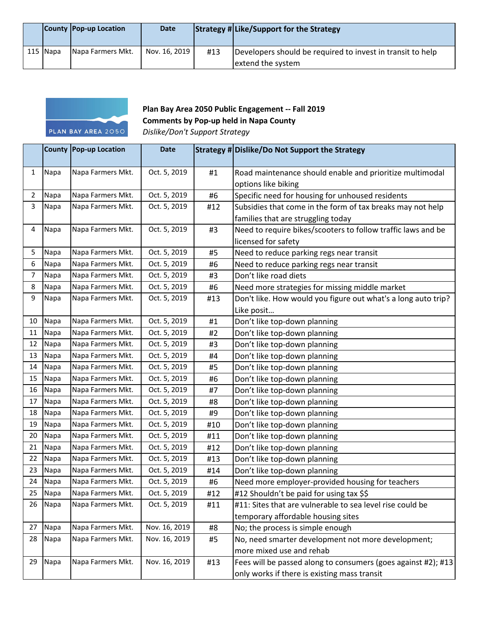|            | County Pop-up Location | <b>Date</b>   |     | Strategy # Like/Support for the Strategy                                        |
|------------|------------------------|---------------|-----|---------------------------------------------------------------------------------|
| $115$ Napa | Napa Farmers Mkt.      | Nov. 16, 2019 | #13 | Developers should be required to invest in transit to help<br>extend the system |



## **Plan Bay Area 2050 Public Engagement -- Fall 2019 Comments by Pop-up held in Napa County**

*Dislike/Don't Support Strategy*

|              |      | County Pop-up Location | <b>Date</b>   |     | Strategy # Dislike/Do Not Support the Strategy                |
|--------------|------|------------------------|---------------|-----|---------------------------------------------------------------|
| $\mathbf{1}$ | Napa | Napa Farmers Mkt.      | Oct. 5, 2019  | #1  | Road maintenance should enable and prioritize multimodal      |
|              |      |                        |               |     | options like biking                                           |
| 2            | Napa | Napa Farmers Mkt.      | Oct. 5, 2019  | #6  | Specific need for housing for unhoused residents              |
| 3            | Napa | Napa Farmers Mkt.      | Oct. 5, 2019  | #12 | Subsidies that come in the form of tax breaks may not help    |
|              |      |                        |               |     | families that are struggling today                            |
| 4            | Napa | Napa Farmers Mkt.      | Oct. 5, 2019  | #3  | Need to require bikes/scooters to follow traffic laws and be  |
|              |      |                        |               |     | licensed for safety                                           |
| 5            | Napa | Napa Farmers Mkt.      | Oct. 5, 2019  | #5  | Need to reduce parking regs near transit                      |
| 6            | Napa | Napa Farmers Mkt.      | Oct. 5, 2019  | #6  | Need to reduce parking regs near transit                      |
| 7            | Napa | Napa Farmers Mkt.      | Oct. 5, 2019  | #3  | Don't like road diets                                         |
| 8            | Napa | Napa Farmers Mkt.      | Oct. 5, 2019  | #6  | Need more strategies for missing middle market                |
| 9            | Napa | Napa Farmers Mkt.      | Oct. 5, 2019  | #13 | Don't like. How would you figure out what's a long auto trip? |
|              |      |                        |               |     | Like posit                                                    |
| 10           | Napa | Napa Farmers Mkt.      | Oct. 5, 2019  | #1  | Don't like top-down planning                                  |
| 11           | Napa | Napa Farmers Mkt.      | Oct. 5, 2019  | #2  | Don't like top-down planning                                  |
| 12           | Napa | Napa Farmers Mkt.      | Oct. 5, 2019  | #3  | Don't like top-down planning                                  |
| 13           | Napa | Napa Farmers Mkt.      | Oct. 5, 2019  | #4  | Don't like top-down planning                                  |
| 14           | Napa | Napa Farmers Mkt.      | Oct. 5, 2019  | #5  | Don't like top-down planning                                  |
| 15           | Napa | Napa Farmers Mkt.      | Oct. 5, 2019  | #6  | Don't like top-down planning                                  |
| 16           | Napa | Napa Farmers Mkt.      | Oct. 5, 2019  | #7  | Don't like top-down planning                                  |
| 17           | Napa | Napa Farmers Mkt.      | Oct. 5, 2019  | #8  | Don't like top-down planning                                  |
| 18           | Napa | Napa Farmers Mkt.      | Oct. 5, 2019  | #9  | Don't like top-down planning                                  |
| 19           | Napa | Napa Farmers Mkt.      | Oct. 5, 2019  | #10 | Don't like top-down planning                                  |
| 20           | Napa | Napa Farmers Mkt.      | Oct. 5, 2019  | #11 | Don't like top-down planning                                  |
| 21           | Napa | Napa Farmers Mkt.      | Oct. 5, 2019  | #12 | Don't like top-down planning                                  |
| 22           | Napa | Napa Farmers Mkt.      | Oct. 5, 2019  | #13 | Don't like top-down planning                                  |
| 23           | Napa | Napa Farmers Mkt.      | Oct. 5, 2019  | #14 | Don't like top-down planning                                  |
| 24           | Napa | Napa Farmers Mkt.      | Oct. 5, 2019  | #6  | Need more employer-provided housing for teachers              |
| 25           | Napa | Napa Farmers Mkt.      | Oct. 5, 2019  | #12 | #12 Shouldn't be paid for using tax \$\$                      |
| 26           | Napa | Napa Farmers Mkt.      | Oct. 5, 2019  | #11 | #11: Sites that are vulnerable to sea level rise could be     |
|              |      |                        |               |     | temporary affordable housing sites                            |
| 27           | Napa | Napa Farmers Mkt.      | Nov. 16, 2019 | #8  | No; the process is simple enough                              |
| 28           | Napa | Napa Farmers Mkt.      | Nov. 16, 2019 | #5  | No, need smarter development not more development;            |
|              |      |                        |               |     | more mixed use and rehab                                      |
| 29           | Napa | Napa Farmers Mkt.      | Nov. 16, 2019 | #13 | Fees will be passed along to consumers (goes against #2); #13 |
|              |      |                        |               |     | only works if there is existing mass transit                  |